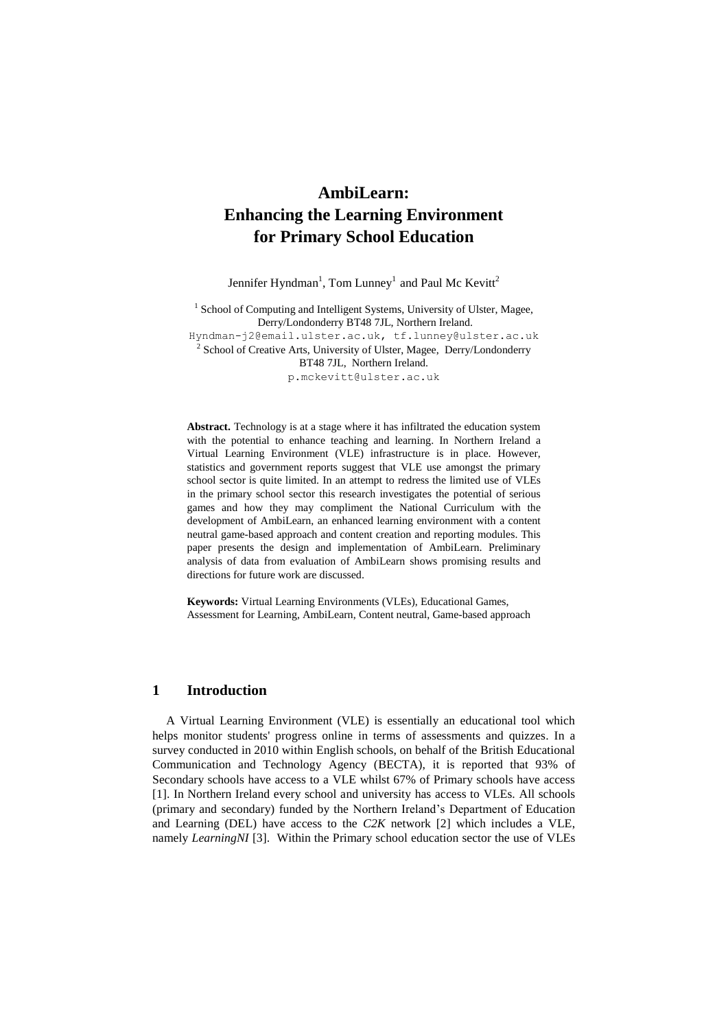# **AmbiLearn: Enhancing the Learning Environment for Primary School Education**

Jennifer Hyndman<sup>1</sup>, Tom Lunney<sup>1</sup> and Paul Mc Kevitt<sup>2</sup>

<sup>1</sup> School of Computing and Intelligent Systems, University of Ulster, Magee, Derry/Londonderry BT48 7JL, Northern Ireland.

[Hyndman-j2@email.ulster.ac.uk,](mailto:Hyndman-j2@email.ulster.ac.uk) [tf.lunney@ulster.ac.uk](mailto:tf.lunney@ulster.ac.uk) <sup>2</sup> School of Creative Arts, University of Ulster, Magee, Derry/Londonderry BT48 7JL, Northern Ireland. [p.mckevitt@ulster.ac.uk](mailto:p.mckevitt@ulster.ac.uk)

**Abstract.** Technology is at a stage where it has infiltrated the education system with the potential to enhance teaching and learning. In Northern Ireland a Virtual Learning Environment (VLE) infrastructure is in place. However, statistics and government reports suggest that VLE use amongst the primary school sector is quite limited. In an attempt to redress the limited use of VLEs in the primary school sector this research investigates the potential of serious games and how they may compliment the National Curriculum with the development of AmbiLearn, an enhanced learning environment with a content neutral game-based approach and content creation and reporting modules. This paper presents the design and implementation of AmbiLearn. Preliminary analysis of data from evaluation of AmbiLearn shows promising results and directions for future work are discussed.

**Keywords:** Virtual Learning Environments (VLEs), Educational Games, Assessment for Learning, AmbiLearn, Content neutral, Game-based approach

## **1 Introduction**

A Virtual Learning Environment (VLE) is essentially an educational tool which helps monitor students' progress online in terms of assessments and quizzes. In a survey conducted in 2010 within English schools, on behalf of the British Educational Communication and Technology Agency (BECTA), it is reported that 93% of Secondary schools have access to a VLE whilst 67% of Primary schools have access [1]. In Northern Ireland every school and university has access to VLEs. All schools (primary and secondary) funded by the Northern Ireland's Department of Education and Learning (DEL) have access to the *C2K* network [2] which includes a VLE, namely *LearningNI* [3]. Within the Primary school education sector the use of VLEs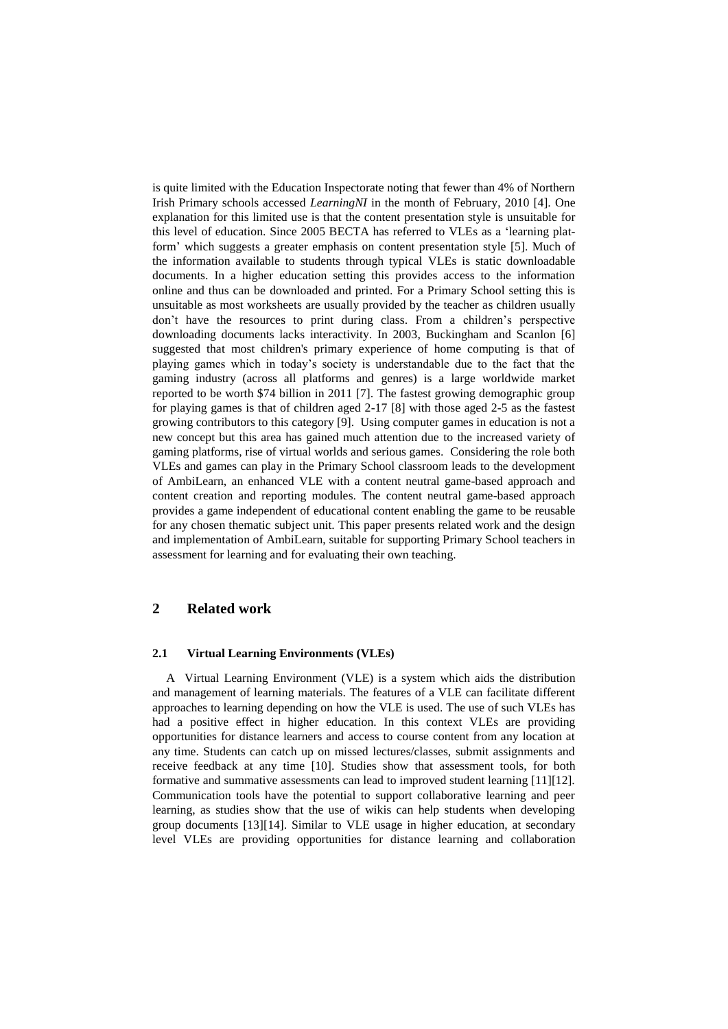is quite limited with the Education Inspectorate noting that fewer than 4% of Northern Irish Primary schools accessed *LearningNI* in the month of February, 2010 [4]. One explanation for this limited use is that the content presentation style is unsuitable for this level of education. Since 2005 BECTA has referred to VLEs as a 'learning platform' which suggests a greater emphasis on content presentation style [5]. Much of the information available to students through typical VLEs is static downloadable documents. In a higher education setting this provides access to the information online and thus can be downloaded and printed. For a Primary School setting this is unsuitable as most worksheets are usually provided by the teacher as children usually don't have the resources to print during class. From a children's perspective downloading documents lacks interactivity. In 2003, Buckingham and Scanlon [6] suggested that most children's primary experience of home computing is that of playing games which in today's society is understandable due to the fact that the gaming industry (across all platforms and genres) is a large worldwide market reported to be worth \$74 billion in 2011 [7]. The fastest growing demographic group for playing games is that of children aged 2-17 [8] with those aged 2-5 as the fastest growing contributors to this category [9]. Using computer games in education is not a new concept but this area has gained much attention due to the increased variety of gaming platforms, rise of virtual worlds and serious games. Considering the role both VLEs and games can play in the Primary School classroom leads to the development of AmbiLearn, an enhanced VLE with a content neutral game-based approach and content creation and reporting modules. The content neutral game-based approach provides a game independent of educational content enabling the game to be reusable for any chosen thematic subject unit. This paper presents related work and the design and implementation of AmbiLearn, suitable for supporting Primary School teachers in assessment for learning and for evaluating their own teaching.

# **2 Related work**

#### **2.1 Virtual Learning Environments (VLEs)**

A Virtual Learning Environment (VLE) is a system which aids the distribution and management of learning materials. The features of a VLE can facilitate different approaches to learning depending on how the VLE is used. The use of such VLEs has had a positive effect in higher education. In this context VLEs are providing opportunities for distance learners and access to course content from any location at any time. Students can catch up on missed lectures/classes, submit assignments and receive feedback at any time [10]. Studies show that assessment tools, for both formative and summative assessments can lead to improved student learning [11][12]. Communication tools have the potential to support collaborative learning and peer learning, as studies show that the use of wikis can help students when developing group documents [13][14]. Similar to VLE usage in higher education, at secondary level VLEs are providing opportunities for distance learning and collaboration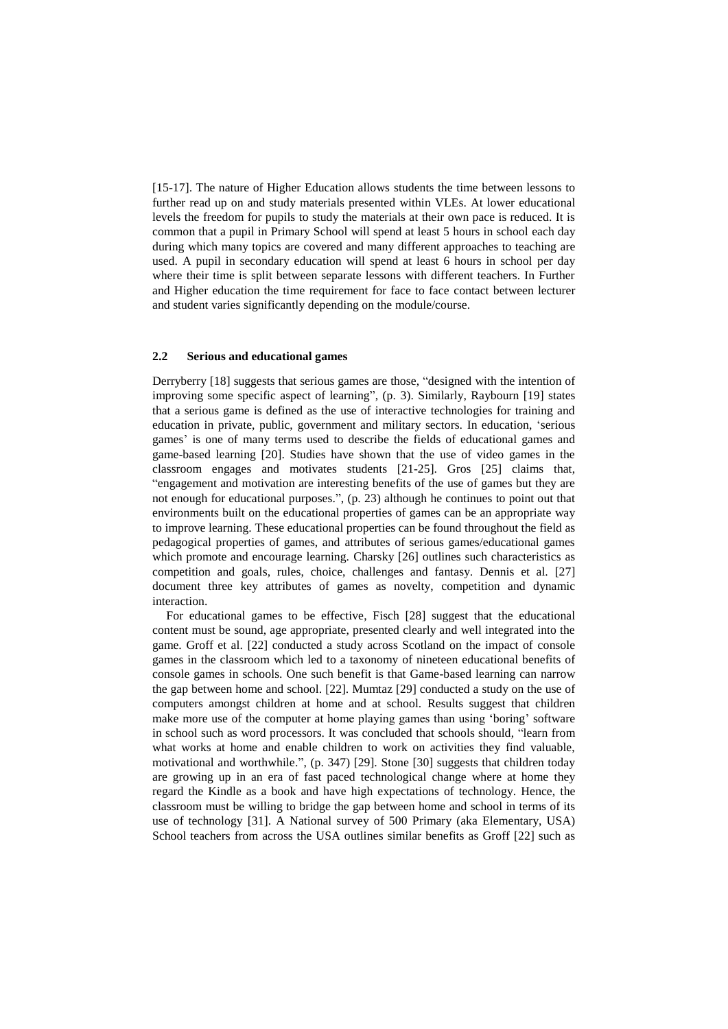[15-17]. The nature of Higher Education allows students the time between lessons to further read up on and study materials presented within VLEs. At lower educational levels the freedom for pupils to study the materials at their own pace is reduced. It is common that a pupil in Primary School will spend at least 5 hours in school each day during which many topics are covered and many different approaches to teaching are used. A pupil in secondary education will spend at least 6 hours in school per day where their time is split between separate lessons with different teachers. In Further and Higher education the time requirement for face to face contact between lecturer and student varies significantly depending on the module/course.

## **2.2 Serious and educational games**

Derryberry [18] suggests that serious games are those, "designed with the intention of improving some specific aspect of learning", (p. 3). Similarly, Raybourn [19] states that a serious game is defined as the use of interactive technologies for training and education in private, public, government and military sectors. In education, 'serious games' is one of many terms used to describe the fields of educational games and game-based learning [20]. Studies have shown that the use of video games in the classroom engages and motivates students [21-25]. Gros [25] claims that, "engagement and motivation are interesting benefits of the use of games but they are not enough for educational purposes.", (p. 23) although he continues to point out that environments built on the educational properties of games can be an appropriate way to improve learning. These educational properties can be found throughout the field as pedagogical properties of games, and attributes of serious games/educational games which promote and encourage learning. Charsky [26] outlines such characteristics as competition and goals, rules, choice, challenges and fantasy. Dennis et al. [27] document three key attributes of games as novelty, competition and dynamic interaction.

For educational games to be effective, Fisch [28] suggest that the educational content must be sound, age appropriate, presented clearly and well integrated into the game. Groff et al. [22] conducted a study across Scotland on the impact of console games in the classroom which led to a taxonomy of nineteen educational benefits of console games in schools. One such benefit is that Game-based learning can narrow the gap between home and school. [22]. Mumtaz [29] conducted a study on the use of computers amongst children at home and at school. Results suggest that children make more use of the computer at home playing games than using 'boring' software in school such as word processors. It was concluded that schools should, "learn from what works at home and enable children to work on activities they find valuable, motivational and worthwhile.", (p. 347) [29]. Stone [30] suggests that children today are growing up in an era of fast paced technological change where at home they regard the Kindle as a book and have high expectations of technology. Hence, the classroom must be willing to bridge the gap between home and school in terms of its use of technology [31]. A National survey of 500 Primary (aka Elementary, USA) School teachers from across the USA outlines similar benefits as Groff [22] such as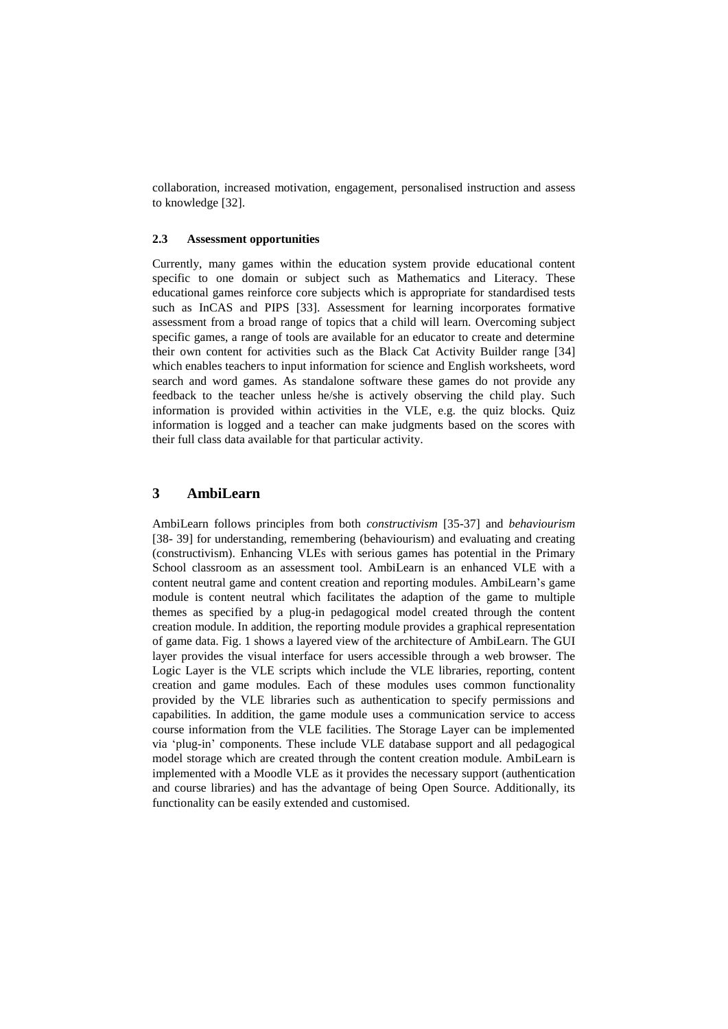collaboration, increased motivation, engagement, personalised instruction and assess to knowledge [32].

#### **2.3 Assessment opportunities**

Currently, many games within the education system provide educational content specific to one domain or subject such as Mathematics and Literacy. These educational games reinforce core subjects which is appropriate for standardised tests such as InCAS and PIPS [33]. Assessment for learning incorporates formative assessment from a broad range of topics that a child will learn. Overcoming subject specific games, a range of tools are available for an educator to create and determine their own content for activities such as the Black Cat Activity Builder range [34] which enables teachers to input information for science and English worksheets, word search and word games. As standalone software these games do not provide any feedback to the teacher unless he/she is actively observing the child play. Such information is provided within activities in the VLE, e.g. the quiz blocks. Quiz information is logged and a teacher can make judgments based on the scores with their full class data available for that particular activity.

# **3 AmbiLearn**

AmbiLearn follows principles from both *constructivism* [35-37] and *behaviourism* [38- 39] for understanding, remembering (behaviourism) and evaluating and creating (constructivism). Enhancing VLEs with serious games has potential in the Primary School classroom as an assessment tool. AmbiLearn is an enhanced VLE with a content neutral game and content creation and reporting modules. AmbiLearn's game module is content neutral which facilitates the adaption of the game to multiple themes as specified by a plug-in pedagogical model created through the content creation module. In addition, the reporting module provides a graphical representation of game data. Fig. 1 shows a layered view of the architecture of AmbiLearn. The GUI layer provides the visual interface for users accessible through a web browser. The Logic Layer is the VLE scripts which include the VLE libraries, reporting, content creation and game modules. Each of these modules uses common functionality provided by the VLE libraries such as authentication to specify permissions and capabilities. In addition, the game module uses a communication service to access course information from the VLE facilities. The Storage Layer can be implemented via 'plug-in' components. These include VLE database support and all pedagogical model storage which are created through the content creation module. AmbiLearn is implemented with a Moodle VLE as it provides the necessary support (authentication and course libraries) and has the advantage of being Open Source. Additionally, its functionality can be easily extended and customised.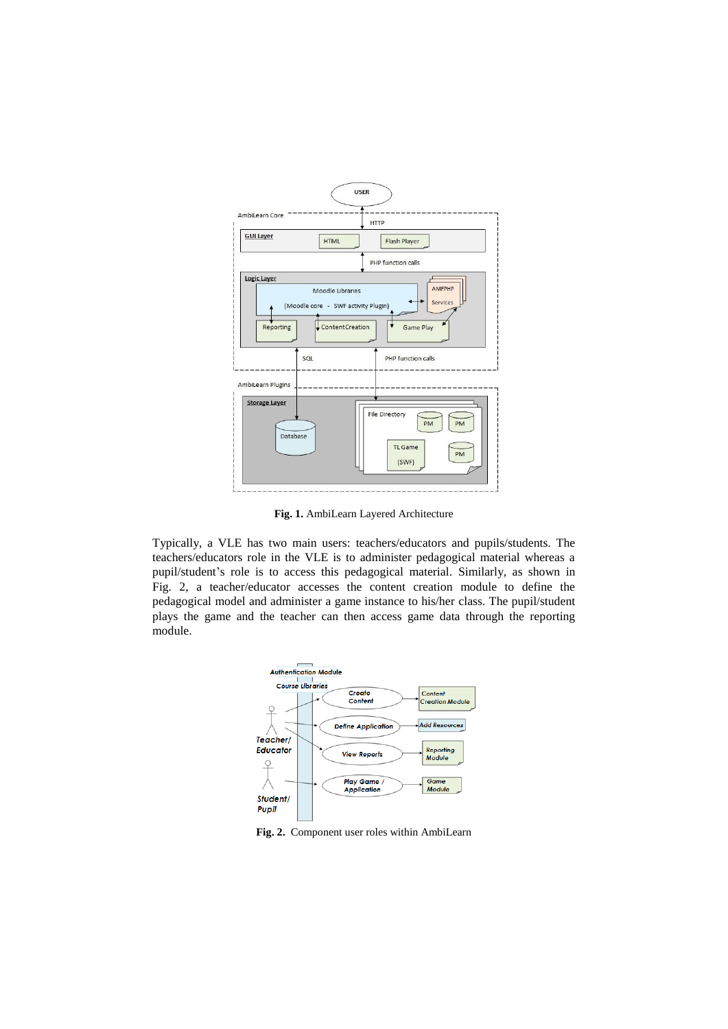

**Fig. 1.** AmbiLearn Layered Architecture

Typically, a VLE has two main users: teachers/educators and pupils/students. The teachers/educators role in the VLE is to administer pedagogical material whereas a pupil/student's role is to access this pedagogical material. Similarly, as shown in Fig. 2, a teacher/educator accesses the content creation module to define the pedagogical model and administer a game instance to his/her class. The pupil/student plays the game and the teacher can then access game data through the reporting module.



**Fig. 2.** Component user roles within AmbiLearn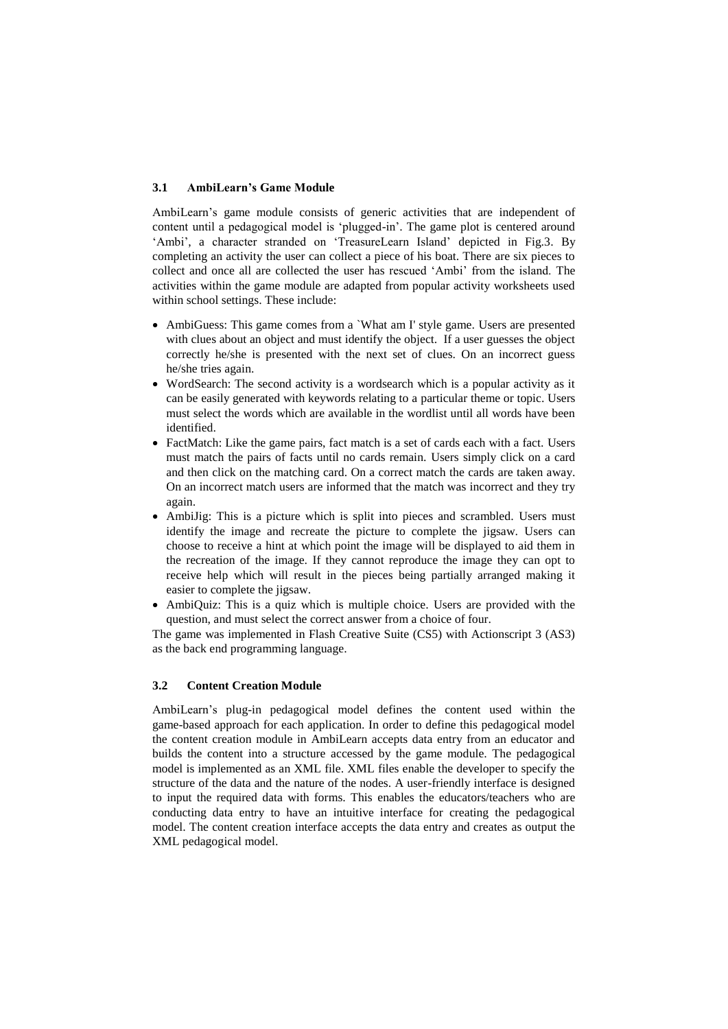## **3.1 AmbiLearn's Game Module**

AmbiLearn's game module consists of generic activities that are independent of content until a pedagogical model is 'plugged-in'. The game plot is centered around 'Ambi', a character stranded on 'TreasureLearn Island' depicted in Fig.3. By completing an activity the user can collect a piece of his boat. There are six pieces to collect and once all are collected the user has rescued 'Ambi' from the island. The activities within the game module are adapted from popular activity worksheets used within school settings. These include:

- AmbiGuess: This game comes from a `What am I' style game. Users are presented with clues about an object and must identify the object. If a user guesses the object correctly he/she is presented with the next set of clues. On an incorrect guess he/she tries again.
- WordSearch: The second activity is a wordsearch which is a popular activity as it can be easily generated with keywords relating to a particular theme or topic. Users must select the words which are available in the wordlist until all words have been identified.
- FactMatch: Like the game pairs, fact match is a set of cards each with a fact. Users must match the pairs of facts until no cards remain. Users simply click on a card and then click on the matching card. On a correct match the cards are taken away. On an incorrect match users are informed that the match was incorrect and they try again.
- AmbiJig: This is a picture which is split into pieces and scrambled. Users must identify the image and recreate the picture to complete the jigsaw. Users can choose to receive a hint at which point the image will be displayed to aid them in the recreation of the image. If they cannot reproduce the image they can opt to receive help which will result in the pieces being partially arranged making it easier to complete the jigsaw.
- AmbiQuiz: This is a quiz which is multiple choice. Users are provided with the question, and must select the correct answer from a choice of four.

The game was implemented in Flash Creative Suite (CS5) with Actionscript 3 (AS3) as the back end programming language.

#### **3.2 Content Creation Module**

AmbiLearn's plug-in pedagogical model defines the content used within the game-based approach for each application. In order to define this pedagogical model the content creation module in AmbiLearn accepts data entry from an educator and builds the content into a structure accessed by the game module. The pedagogical model is implemented as an XML file. XML files enable the developer to specify the structure of the data and the nature of the nodes. A user-friendly interface is designed to input the required data with forms. This enables the educators/teachers who are conducting data entry to have an intuitive interface for creating the pedagogical model. The content creation interface accepts the data entry and creates as output the XML pedagogical model.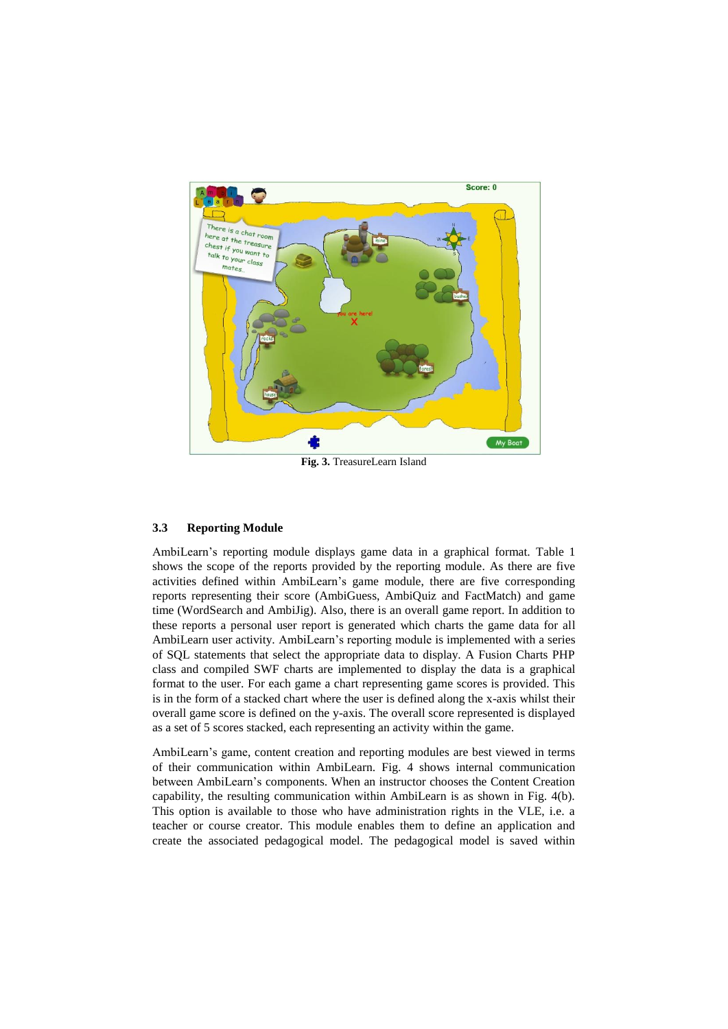

**Fig. 3.** TreasureLearn Island

## **3.3 Reporting Module**

AmbiLearn's reporting module displays game data in a graphical format. Table 1 shows the scope of the reports provided by the reporting module. As there are five activities defined within AmbiLearn's game module, there are five corresponding reports representing their score (AmbiGuess, AmbiQuiz and FactMatch) and game time (WordSearch and AmbiJig). Also, there is an overall game report. In addition to these reports a personal user report is generated which charts the game data for all AmbiLearn user activity. AmbiLearn's reporting module is implemented with a series of SQL statements that select the appropriate data to display. A Fusion Charts PHP class and compiled SWF charts are implemented to display the data is a graphical format to the user. For each game a chart representing game scores is provided. This is in the form of a stacked chart where the user is defined along the x-axis whilst their overall game score is defined on the y-axis. The overall score represented is displayed as a set of 5 scores stacked, each representing an activity within the game.

AmbiLearn's game, content creation and reporting modules are best viewed in terms of their communication within AmbiLearn. Fig. 4 shows internal communication between AmbiLearn's components. When an instructor chooses the Content Creation capability, the resulting communication within AmbiLearn is as shown in Fig. 4(b). This option is available to those who have administration rights in the VLE, i.e. a teacher or course creator. This module enables them to define an application and create the associated pedagogical model. The pedagogical model is saved within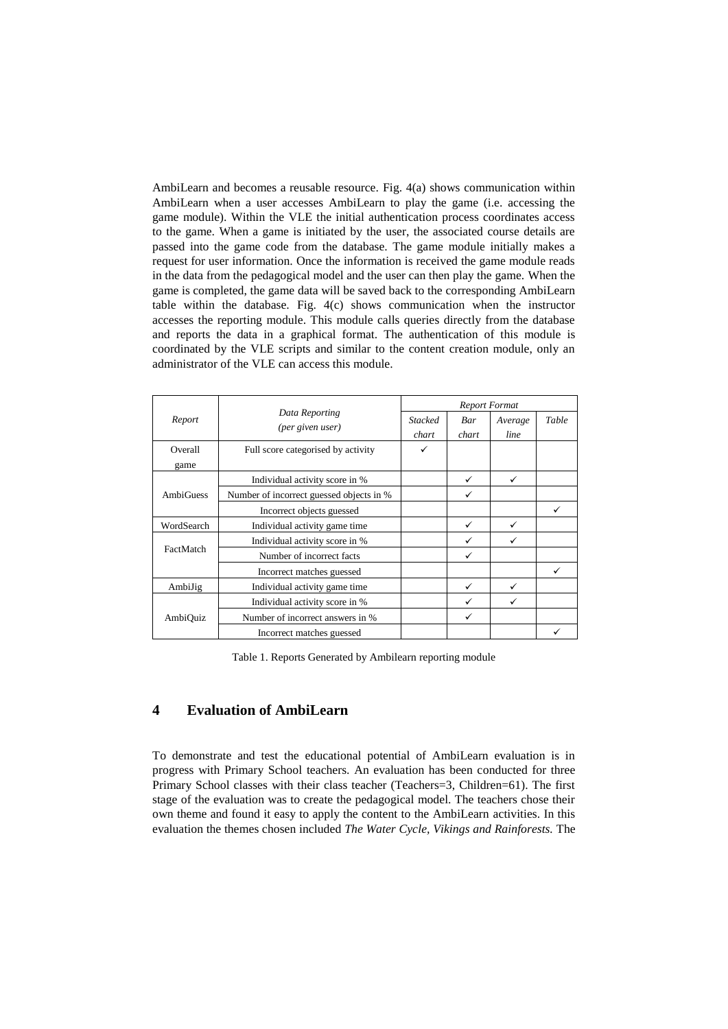AmbiLearn and becomes a reusable resource. Fig. 4(a) shows communication within AmbiLearn when a user accesses AmbiLearn to play the game (i.e. accessing the game module). Within the VLE the initial authentication process coordinates access to the game. When a game is initiated by the user, the associated course details are passed into the game code from the database. The game module initially makes a request for user information. Once the information is received the game module reads in the data from the pedagogical model and the user can then play the game. When the game is completed, the game data will be saved back to the corresponding AmbiLearn table within the database. Fig. 4(c) shows communication when the instructor accesses the reporting module. This module calls queries directly from the database and reports the data in a graphical format. The authentication of this module is coordinated by the VLE scripts and similar to the content creation module, only an administrator of the VLE can access this module.

| Report          | Data Reporting<br>(per given user)       | Report Format           |              |                 |       |
|-----------------|------------------------------------------|-------------------------|--------------|-----------------|-------|
|                 |                                          | <b>Stacked</b><br>chart | Bar<br>chart | Average<br>line | Table |
| Overall<br>game | Full score categorised by activity       | ✓                       |              |                 |       |
| AmbiGuess       | Individual activity score in %           |                         | ✓            | ✓               |       |
|                 | Number of incorrect guessed objects in % |                         | ✓            |                 |       |
|                 | Incorrect objects guessed                |                         |              |                 |       |
| WordSearch      | Individual activity game time            |                         | ✓            | ✓               |       |
| FactMatch       | Individual activity score in %           |                         | ✓            | ✓               |       |
|                 | Number of incorrect facts                |                         | ✓            |                 |       |
|                 | Incorrect matches guessed                |                         |              |                 | ✓     |
| AmbiJig         | Individual activity game time            |                         | ✓            | ✓               |       |
| AmbiQuiz        | Individual activity score in %           |                         | ✓            | ✓               |       |
|                 | Number of incorrect answers in %         |                         | ✓            |                 |       |
|                 | Incorrect matches guessed                |                         |              |                 |       |

Table 1. Reports Generated by Ambilearn reporting module

# **4 Evaluation of AmbiLearn**

To demonstrate and test the educational potential of AmbiLearn evaluation is in progress with Primary School teachers. An evaluation has been conducted for three Primary School classes with their class teacher (Teachers=3, Children=61). The first stage of the evaluation was to create the pedagogical model. The teachers chose their own theme and found it easy to apply the content to the AmbiLearn activities. In this evaluation the themes chosen included *The Water Cycle, Vikings and Rainforests.* The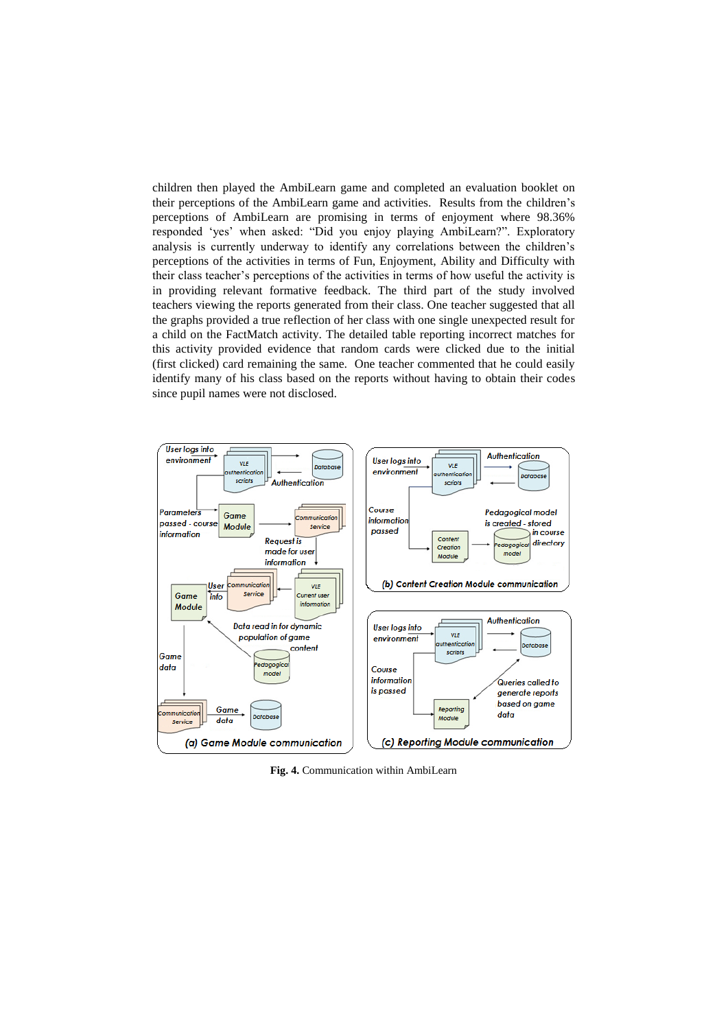children then played the AmbiLearn game and completed an evaluation booklet on their perceptions of the AmbiLearn game and activities. Results from the children's perceptions of AmbiLearn are promising in terms of enjoyment where 98.36% responded 'yes' when asked: "Did you enjoy playing AmbiLearn?". Exploratory analysis is currently underway to identify any correlations between the children's perceptions of the activities in terms of Fun, Enjoyment, Ability and Difficulty with their class teacher's perceptions of the activities in terms of how useful the activity is in providing relevant formative feedback. The third part of the study involved teachers viewing the reports generated from their class. One teacher suggested that all the graphs provided a true reflection of her class with one single unexpected result for a child on the FactMatch activity. The detailed table reporting incorrect matches for this activity provided evidence that random cards were clicked due to the initial (first clicked) card remaining the same. One teacher commented that he could easily identify many of his class based on the reports without having to obtain their codes since pupil names were not disclosed.



**Fig. 4.** Communication within AmbiLearn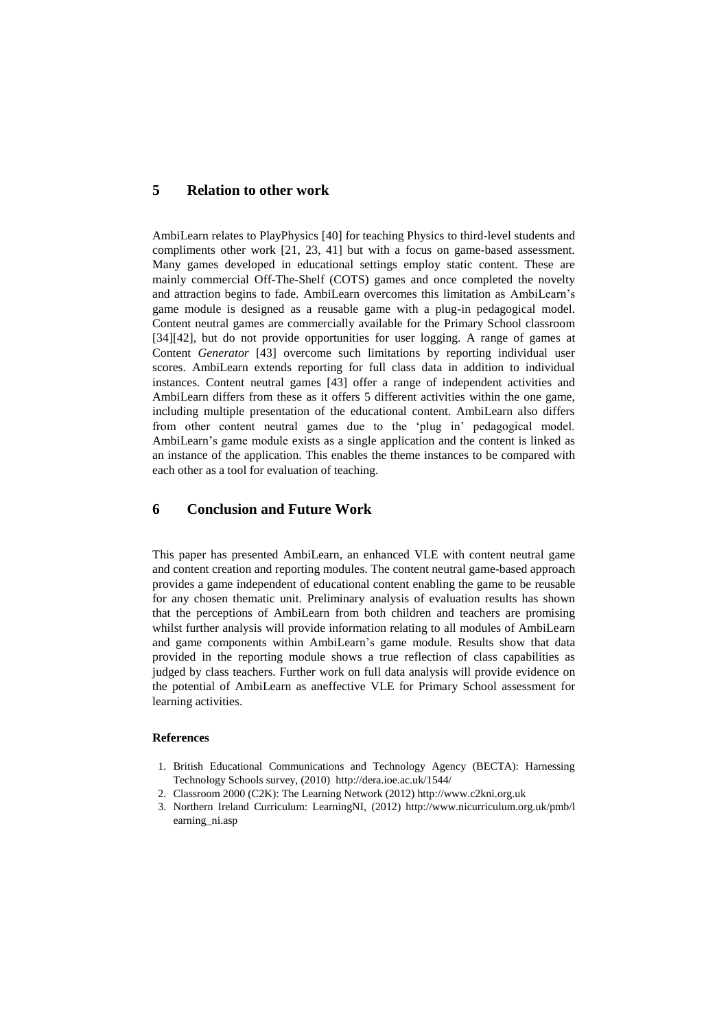## **5 Relation to other work**

AmbiLearn relates to PlayPhysics [40] for teaching Physics to third-level students and compliments other work [21, 23, 41] but with a focus on game-based assessment. Many games developed in educational settings employ static content. These are mainly commercial Off-The-Shelf (COTS) games and once completed the novelty and attraction begins to fade. AmbiLearn overcomes this limitation as AmbiLearn's game module is designed as a reusable game with a plug-in pedagogical model. Content neutral games are commercially available for the Primary School classroom [34][42], but do not provide opportunities for user logging. A range of games at Content *Generator* [43] overcome such limitations by reporting individual user scores. AmbiLearn extends reporting for full class data in addition to individual instances. Content neutral games [43] offer a range of independent activities and AmbiLearn differs from these as it offers 5 different activities within the one game, including multiple presentation of the educational content. AmbiLearn also differs from other content neutral games due to the 'plug in' pedagogical model. AmbiLearn's game module exists as a single application and the content is linked as an instance of the application. This enables the theme instances to be compared with each other as a tool for evaluation of teaching.

# **6 Conclusion and Future Work**

This paper has presented AmbiLearn, an enhanced VLE with content neutral game and content creation and reporting modules. The content neutral game-based approach provides a game independent of educational content enabling the game to be reusable for any chosen thematic unit. Preliminary analysis of evaluation results has shown that the perceptions of AmbiLearn from both children and teachers are promising whilst further analysis will provide information relating to all modules of AmbiLearn and game components within AmbiLearn's game module. Results show that data provided in the reporting module shows a true reflection of class capabilities as judged by class teachers. Further work on full data analysis will provide evidence on the potential of AmbiLearn as aneffective VLE for Primary School assessment for learning activities.

#### **References**

- 1. British Educational Communications and Technology Agency (BECTA): Harnessing Technology Schools survey, (2010)<http://dera.ioe.ac.uk/1544/>
- 2. Classroom 2000 (C2K): The Learning Network (2012[\) http://www.c2kni.org.uk](http://www.c2kni.org.uk/)
- 3. Northern Ireland Curriculum: LearningNI, (2012) http://www.nicurriculum.org.uk/pmb/l earning\_ni.asp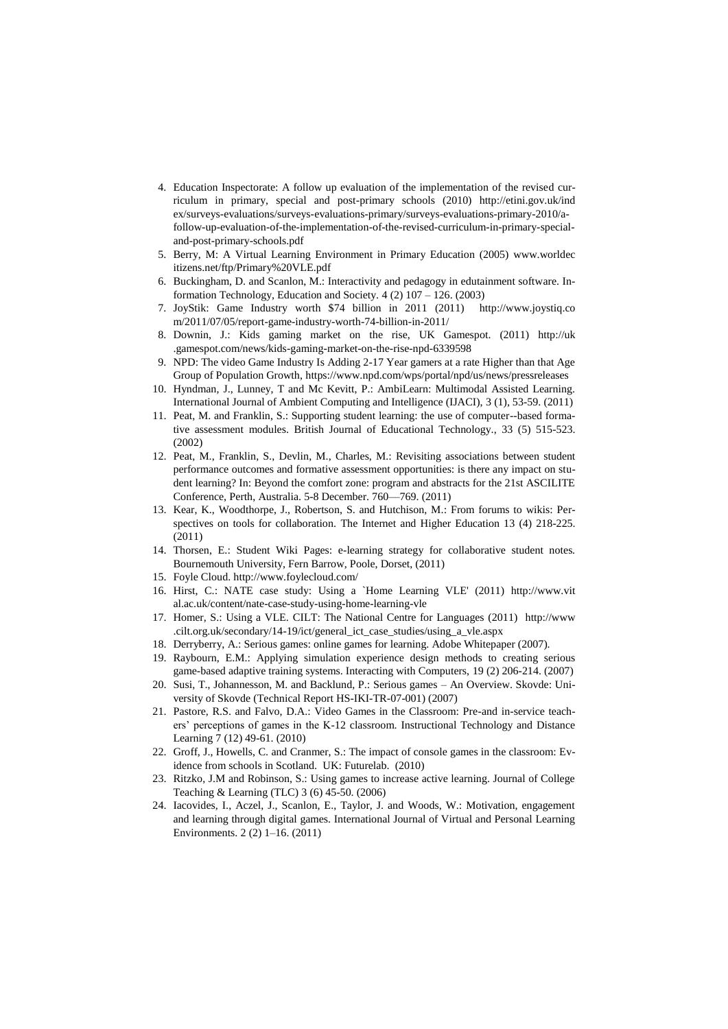- 4. Education Inspectorate: A follow up evaluation of the implementation of the revised curriculum in primary, special and post-primary schools (2010) [http://etini.gov.uk/ind](http://etini.gov.uk/index/surveys-evaluations/surveys-evaluations-primary/surveys-evaluations-primary-2010/a-follow-up-evaluation-of-the-implementation-of-the-revised-curriculum-in-primary-special-and-post-primary-schools.pdf) [ex/surveys-evaluations/surveys-evaluations-primary/surveys-evaluations-primary-2010/a](http://etini.gov.uk/index/surveys-evaluations/surveys-evaluations-primary/surveys-evaluations-primary-2010/a-follow-up-evaluation-of-the-implementation-of-the-revised-curriculum-in-primary-special-and-post-primary-schools.pdf)[follow-up-evaluation-of-the-implementation-of-the-revised-curriculum-in-primary-special](http://etini.gov.uk/index/surveys-evaluations/surveys-evaluations-primary/surveys-evaluations-primary-2010/a-follow-up-evaluation-of-the-implementation-of-the-revised-curriculum-in-primary-special-and-post-primary-schools.pdf)[and-post-primary-schools.pdf](http://etini.gov.uk/index/surveys-evaluations/surveys-evaluations-primary/surveys-evaluations-primary-2010/a-follow-up-evaluation-of-the-implementation-of-the-revised-curriculum-in-primary-special-and-post-primary-schools.pdf)
- 5. Berry, M: A Virtual Learning Environment in Primary Education (2005) [www.worldec](http://www.worldec/) itizens.net/ftp/Primary%20VLE.pdf
- 6. Buckingham, D. and Scanlon, M.: Interactivity and pedagogy in edutainment software. Information Technology, Education and Society. 4 (2) 107 – 126. (2003)
- 7. JoyStik: Game Industry worth \$74 billion in 2011 (2011) [http://www.joystiq.co](http://www.joystiq.com/2011) [m/2011/](http://www.joystiq.com/2011)07/05/report-game-industry-worth-74-billion-in-2011/
- 8. Downin, J.: Kids gaming market on the rise, UK Gamespot. (2011) [http://uk](http://uk.gamespot.com/news/kids-gaming-market-on-the-rise-npd-6339598) [.gamespot.com/news/kids-gaming-market-on-the-rise-npd-6339598](http://uk.gamespot.com/news/kids-gaming-market-on-the-rise-npd-6339598)
- 9. NPD: The video Game Industry Is Adding 2-17 Year gamers at a rate Higher than that Age Group of Population Growth, <https://www.npd.com/wps/portal/npd/us/news/pressreleases>
- 10. Hyndman, J., Lunney, T and Mc Kevitt, P.: AmbiLearn: Multimodal Assisted Learning. International Journal of Ambient Computing and Intelligence (IJACI), 3 (1), 53-59. (2011)
- 11. Peat, M. and Franklin, S.: Supporting student learning: the use of computer--based formative assessment modules. British Journal of Educational Technology., 33 (5) 515-523. (2002)
- 12. Peat, M., Franklin, S., Devlin, M., Charles, M.: Revisiting associations between student performance outcomes and formative assessment opportunities: is there any impact on student learning? In: Beyond the comfort zone: program and abstracts for the 21st ASCILITE Conference, Perth, Australia. 5-8 December. 760—769. (2011)
- 13. Kear, K., Woodthorpe, J., Robertson, S. and Hutchison, M.: From forums to wikis: Perspectives on tools for collaboration. The Internet and Higher Education 13 (4) 218-225. (2011)
- 14. Thorsen, E.: Student Wiki Pages: e-learning strategy for collaborative student notes. Bournemouth University, Fern Barrow, Poole, Dorset, (2011)
- 15. Foyle Cloud.<http://www.foylecloud.com/>
- 16. Hirst, C.: NATE case study: Using a `Home Learning VLE' (2011) [http://www.vit](http://www.vital.ac.uk/content/nate-case-study-using-home-learning-vle) [al.ac.uk/content/nate-case-study-using-home-learning-vle](http://www.vital.ac.uk/content/nate-case-study-using-home-learning-vle)
- 17. Homer, S.: Using a VLE. CILT: The National Centre for Languages (2011) [http://www](http://www/) .cilt.org.uk/secondary/14-19/ict/general\_ict\_case\_studies/using\_a\_vle.aspx
- 18. Derryberry, A.: Serious games: online games for learning. Adobe Whitepaper (2007).
- 19. Raybourn, E.M.: Applying simulation experience design methods to creating serious game-based adaptive training systems. Interacting with Computers, 19 (2) 206-214. (2007)
- 20. Susi, T., Johannesson, M. and Backlund, P.: Serious games An Overview. Skovde: University of Skovde (Technical Report HS-IKI-TR-07-001) (2007)
- 21. Pastore, R.S. and Falvo, D.A.: Video Games in the Classroom: Pre-and in-service teachers' perceptions of games in the K-12 classroom. Instructional Technology and Distance Learning 7 (12) 49-61. (2010)
- 22. Groff, J., Howells, C. and Cranmer, S.: The impact of console games in the classroom: Evidence from schools in Scotland. UK: Futurelab. (2010)
- 23. Ritzko, J.M and Robinson, S.: Using games to increase active learning. Journal of College Teaching & Learning (TLC) 3 (6) 45-50. (2006)
- 24. Iacovides, I., Aczel, J., Scanlon, E., Taylor, J. and Woods, W.: Motivation, engagement and learning through digital games. International Journal of Virtual and Personal Learning Environments. 2 (2) 1–16. (2011)